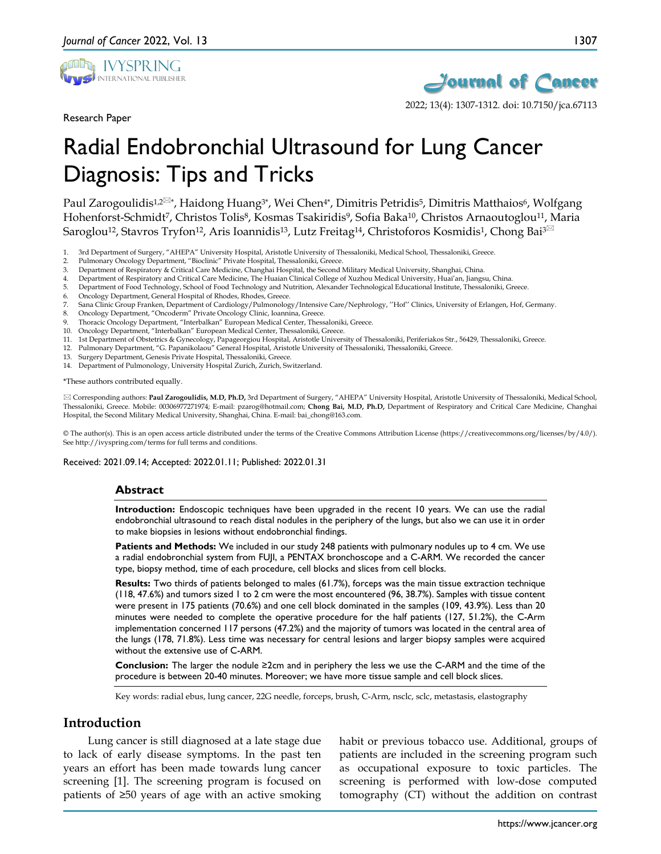

Research Paper



2022; 13(4): 1307-1312. doi: 10.7150/jca.67113

# Radial Endobronchial Ultrasound for Lung Cancer Diagnosis: Tips and Tricks

Paul Zarogoulidis<sup>1,2<sup> $\boxtimes$ </sup>\*, Haidong Huang<sup>3\*</sup>, Wei Chen<sup>4\*</sup>, Dimitris Petridis<sup>5</sup>, Dimitris Matthaios<sup>6</sup>, Wolfgang</sup> Hohenforst-Schmidt7, Christos Tolis8, Kosmas Tsakiridis9, Sofia Baka10, Christos Arnaoutoglou11, Maria Saroglou<sup>12</sup>, Stavros Tryfon<sup>12</sup>, Aris Ioannidis<sup>13</sup>, Lutz Freitag<sup>14</sup>, Christoforos Kosmidis<sup>1</sup>, Chong Bai<sup>3 $\boxtimes$ </sup>

- 1. 3rd Department of Surgery, "AHEPA" University Hospital, Aristotle University of Thessaloniki, Medical School, Thessaloniki, Greece.
- Pulmonary Oncology Department, "Bioclinic" Private Hospital, Thessaloniki, Greece.
- 3. Department of Respiratory & Critical Care Medicine, Changhai Hospital, the Second Military Medical University, Shanghai, China.
- 4. Department of Respiratory and Critical Care Medicine, The Huaian Clinical College of Xuzhou Medical University, Huai'an, Jiangsu, China.
- 5. Department of Food Technology, School of Food Technology and Nutrition, Alexander Technological Educational Institute, Thessaloniki, Greece.
- 6. Oncology Department, General Hospital of Rhodes, Rhodes, Greece.
- 7. Sana Clinic Group Franken, Department of Cardiology/Pulmonology/Intensive Care/Nephrology, ''Hof'' Clinics, University of Erlangen, Hof, Germany.
- 8. Oncology Department, "Oncoderm" Private Oncology Clinic, Ioannina, Greece.
- Thoracic Oncology Department, "Interbalkan" European Medical Center, Thessaloniki, Greece.
- 10. Oncology Department, "Interbalkan" European Medical Center, Thessaloniki, Greece.
- 11. 1st Department of Obstetrics & Gynecology, Papageorgiou Hospital, Aristotle University of Thessaloniki, Periferiakos Str., 56429, Thessaloniki, Greece.
- 12. Pulmonary Department, "G. Papanikolaou" General Hospital, Aristotle University of Thessaloniki, Thessaloniki, Greece.
- 13. Surgery Department, Genesis Private Hospital, Thessaloniki, Greece.
- 14. Department of Pulmonology, University Hospital Zurich, Zurich, Switzerland.

\*These authors contributed equally.

 Corresponding authors: **Paul Zarogoulidis, M.D, Ph.D,** 3rd Department of Surgery, "AHEPA" University Hospital, Aristotle University of Thessaloniki, Medical School, Thessaloniki, Greece. Mobile: 00306977271974; E-mail: pzarog@hotmail.com; **Chong Bai, M.D, Ph.D,** Department of Respiratory and Critical Care Medicine, Changhai Hospital, the Second Military Medical University, Shanghai, China. E-mail: bai\_chong@163.com.

© The author(s). This is an open access article distributed under the terms of the Creative Commons Attribution License (https://creativecommons.org/licenses/by/4.0/). See http://ivyspring.com/terms for full terms and conditions.

Received: 2021.09.14; Accepted: 2022.01.11; Published: 2022.01.31

## **Abstract**

**Introduction:** Endoscopic techniques have been upgraded in the recent 10 years. We can use the radial endobronchial ultrasound to reach distal nodules in the periphery of the lungs, but also we can use it in order to make biopsies in lesions without endobronchial findings.

**Patients and Methods:** We included in our study 248 patients with pulmonary nodules up to 4 cm. We use a radial endobronchial system from FUJI, a PENTAX bronchoscope and a C-ARM. We recorded the cancer type, biopsy method, time of each procedure, cell blocks and slices from cell blocks.

**Results:** Two thirds of patients belonged to males (61.7%), forceps was the main tissue extraction technique (118, 47.6%) and tumors sized 1 to 2 cm were the most encountered (96, 38.7%). Samples with tissue content were present in 175 patients (70.6%) and one cell block dominated in the samples (109, 43.9%). Less than 20 minutes were needed to complete the operative procedure for the half patients (127, 51.2%), the C-Arm implementation concerned 117 persons (47.2%) and the majority of tumors was located in the central area of the lungs (178, 71.8%). Less time was necessary for central lesions and larger biopsy samples were acquired without the extensive use of C-ARM.

**Conclusion:** The larger the nodule ≥2cm and in periphery the less we use the C-ARM and the time of the procedure is between 20-40 minutes. Moreover; we have more tissue sample and cell block slices.

Key words: radial ebus, lung cancer, 22G needle, forceps, brush, C-Arm, nsclc, sclc, metastasis, elastography

# **Introduction**

Lung cancer is still diagnosed at a late stage due to lack of early disease symptoms. In the past ten years an effort has been made towards lung cancer screening [1]. The screening program is focused on patients of ≥50 years of age with an active smoking

habit or previous tobacco use. Additional, groups of patients are included in the screening program such as occupational exposure to toxic particles. The screening is performed with low-dose computed tomography (CT) without the addition on contrast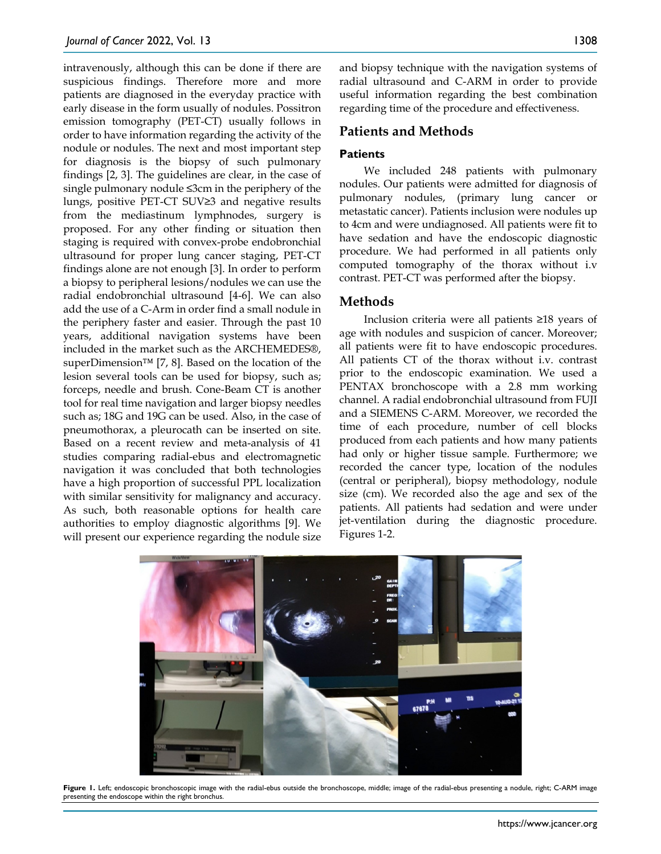intravenously, although this can be done if there are suspicious findings. Therefore more and more patients are diagnosed in the everyday practice with early disease in the form usually of nodules. Possitron emission tomography (PET-CT) usually follows in order to have information regarding the activity of the nodule or nodules. The next and most important step for diagnosis is the biopsy of such pulmonary findings [2, 3]. The guidelines are clear, in the case of single pulmonary nodule ≤3cm in the periphery of the lungs, positive PET-CT SUV≥3 and negative results from the mediastinum lymphnodes, surgery is proposed. For any other finding or situation then staging is required with convex-probe endobronchial ultrasound for proper lung cancer staging, PET-CT findings alone are not enough [3]. In order to perform a biopsy to peripheral lesions/nodules we can use the radial endobronchial ultrasound [4-6]. We can also add the use of a C-Arm in order find a small nodule in the periphery faster and easier. Through the past 10 years, additional navigation systems have been included in the market such as the ARCHEMEDES®, superDimension™ [7, 8]. Based on the location of the lesion several tools can be used for biopsy, such as; forceps, needle and brush. Cone-Beam CT is another tool for real time navigation and larger biopsy needles such as; 18G and 19G can be used. Also, in the case of pneumothorax, a pleurocath can be inserted on site. Based on a recent review and meta-analysis of 41 studies comparing radial-ebus and electromagnetic navigation it was concluded that both technologies have a high proportion of successful PPL localization with similar sensitivity for malignancy and accuracy. As such, both reasonable options for health care authorities to employ diagnostic algorithms [9]. We will present our experience regarding the nodule size

and biopsy technique with the navigation systems of radial ultrasound and C-ARM in order to provide useful information regarding the best combination regarding time of the procedure and effectiveness.

# **Patients and Methods**

#### **Patients**

We included 248 patients with pulmonary nodules. Our patients were admitted for diagnosis of pulmonary nodules, (primary lung cancer or metastatic cancer). Patients inclusion were nodules up to 4cm and were undiagnosed. All patients were fit to have sedation and have the endoscopic diagnostic procedure. We had performed in all patients only computed tomography of the thorax without i.v contrast. PET-CT was performed after the biopsy.

## **Methods**

Inclusion criteria were all patients ≥18 years of age with nodules and suspicion of cancer. Moreover; all patients were fit to have endoscopic procedures. All patients CT of the thorax without i.v. contrast prior to the endoscopic examination. We used a PENTAX bronchoscope with a 2.8 mm working channel. A radial endobronchial ultrasound from FUJI and a SIEMENS C-ARM. Moreover, we recorded the time of each procedure, number of cell blocks produced from each patients and how many patients had only or higher tissue sample. Furthermore; we recorded the cancer type, location of the nodules (central or peripheral), biopsy methodology, nodule size (cm). We recorded also the age and sex of the patients. All patients had sedation and were under jet-ventilation during the diagnostic procedure. Figures 1-2.



Figure 1. Left; endoscopic bronchoscopic image with the radial-ebus outside the bronchoscope, middle; image of the radial-ebus presenting a nodule, right; C-ARM image presenting the endoscope within the right bronchus.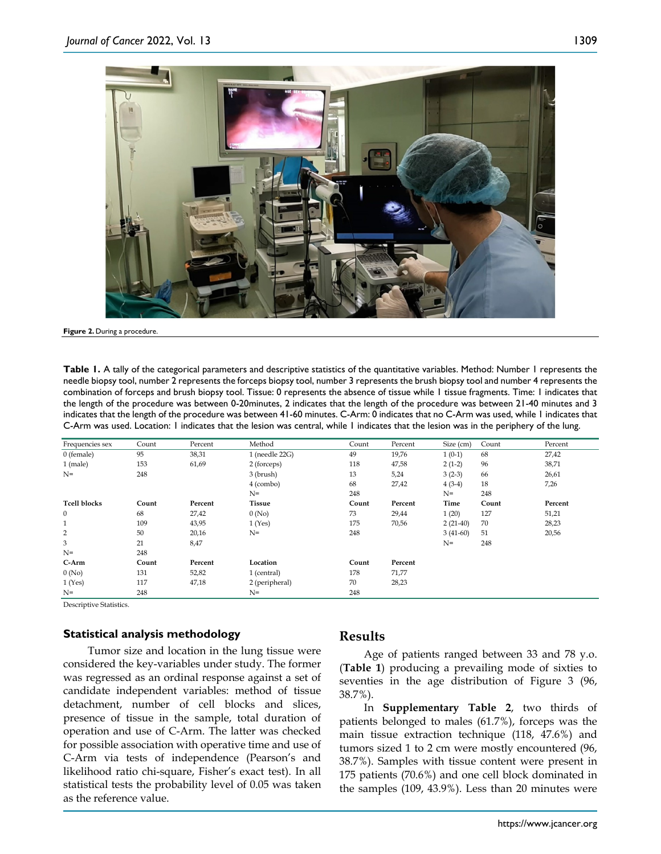

**Figure 2.** During a procedure.

**Table 1.** A tally of the categorical parameters and descriptive statistics of the quantitative variables. Method: Number 1 represents the needle biopsy tool, number 2 represents the forceps biopsy tool, number 3 represents the brush biopsy tool and number 4 represents the combination of forceps and brush biopsy tool. Tissue: 0 represents the absence of tissue while 1 tissue fragments. Time: 1 indicates that the length of the procedure was between 0-20minutes, 2 indicates that the length of the procedure was between 21-40 minutes and 3 indicates that the length of the procedure was between 41-60 minutes. C-Arm: 0 indicates that no C-Arm was used, while 1 indicates that C-Arm was used. Location: 1 indicates that the lesion was central, while 1 indicates that the lesion was in the periphery of the lung.

| Frequencies sex     | Count | Percent | Method         | Count | Percent | Size (cm)  | Count | Percent |
|---------------------|-------|---------|----------------|-------|---------|------------|-------|---------|
| 0 (female)          | 95    | 38,31   | 1 (needle 22G) | 49    | 19,76   | $1(0-1)$   | 68    | 27,42   |
| $1$ (male)          | 153   | 61,69   | 2 (forceps)    | 118   | 47,58   | $2(1-2)$   | 96    | 38,71   |
| $N =$               | 248   |         | 3 (brush)      | 13    | 5,24    | $3(2-3)$   | 66    | 26,61   |
|                     |       |         | 4 (combo)      | 68    | 27,42   | $4(3-4)$   | 18    | 7,26    |
|                     |       |         | $N=$           | 248   |         | $N=$       | 248   |         |
| <b>Tcell blocks</b> | Count | Percent | <b>Tissue</b>  | Count | Percent | Time       | Count | Percent |
| $\mathbf{0}$        | 68    | 27,42   | 0(No)          | 73    | 29,44   | 1(20)      | 127   | 51,21   |
| $\mathbf{1}$        | 109   | 43,95   | 1(Yes)         | 175   | 70,56   | $2(21-40)$ | 70    | 28,23   |
| 2                   | 50    | 20,16   | $N =$          | 248   |         | $3(41-60)$ | 51    | 20,56   |
| 3                   | 21    | 8,47    |                |       |         | $N=$       | 248   |         |
| $N =$               | 248   |         |                |       |         |            |       |         |
| C-Arm               | Count | Percent | Location       | Count | Percent |            |       |         |
| 0(No)               | 131   | 52,82   | 1 (central)    | 178   | 71,77   |            |       |         |
| 1(Yes)              | 117   | 47,18   | 2 (peripheral) | 70    | 28,23   |            |       |         |
| $N=$                | 248   |         | $N =$          | 248   |         |            |       |         |

Descriptive Statistics.

#### **Statistical analysis methodology**

Tumor size and location in the lung tissue were considered the key-variables under study. The former was regressed as an ordinal response against a set of candidate independent variables: method of tissue detachment, number of cell blocks and slices, presence of tissue in the sample, total duration of operation and use of C-Arm. The latter was checked for possible association with operative time and use of C-Arm via tests of independence (Pearson's and likelihood ratio chi-square, Fisher's exact test). In all statistical tests the probability level of 0.05 was taken as the reference value.

## **Results**

Age of patients ranged between 33 and 78 y.o. (**Table 1**) producing a prevailing mode of sixties to seventies in the age distribution of Figure 3 (96, 38.7%).

In **Supplementary Table 2**, two thirds of patients belonged to males (61.7%), forceps was the main tissue extraction technique (118, 47.6%) and tumors sized 1 to 2 cm were mostly encountered (96, 38.7%). Samples with tissue content were present in 175 patients (70.6%) and one cell block dominated in the samples (109, 43.9%). Less than 20 minutes were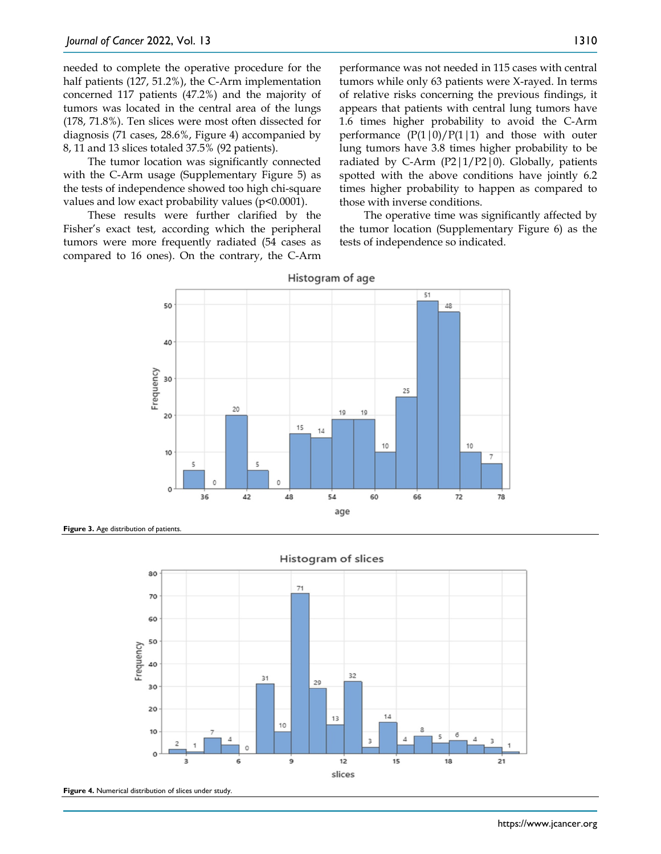needed to complete the operative procedure for the half patients (127, 51.2%), the C-Arm implementation concerned 117 patients (47.2%) and the majority of tumors was located in the central area of the lungs (178, 71.8%). Ten slices were most often dissected for diagnosis (71 cases, 28.6%, Figure 4) accompanied by 8, 11 and 13 slices totaled 37.5% (92 patients).

The tumor location was significantly connected with the C-Arm usage (Supplementary Figure 5) as the tests of independence showed too high chi-square values and low exact probability values (p<0.0001).

These results were further clarified by the Fisher's exact test, according which the peripheral tumors were more frequently radiated (54 cases as compared to 16 ones). On the contrary, the C-Arm performance was not needed in 115 cases with central tumors while only 63 patients were X-rayed. In terms of relative risks concerning the previous findings, it appears that patients with central lung tumors have 1.6 times higher probability to avoid the C-Arm performance  $(P(1|0)/P(1|1)$  and those with outer lung tumors have 3.8 times higher probability to be radiated by C-Arm  $(P2|1/P2|0)$ . Globally, patients spotted with the above conditions have jointly 6.2 times higher probability to happen as compared to those with inverse conditions.

The operative time was significantly affected by the tumor location (Supplementary Figure 6) as the tests of independence so indicated.



Histogram of age

Figure 3. Age distribution of patients





Figure 4. Numerical distribution of slices under study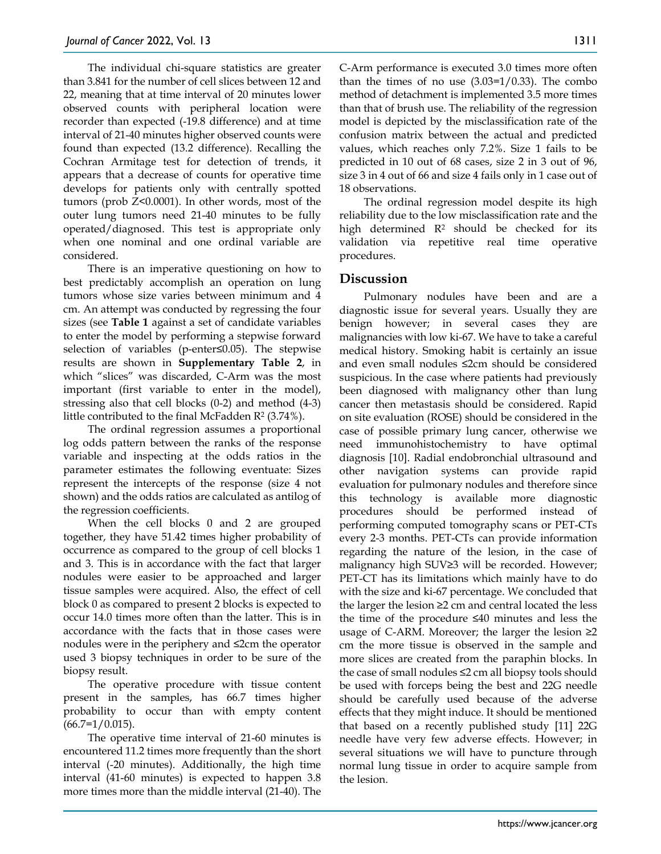The individual chi-square statistics are greater than 3.841 for the number of cell slices between 12 and 22, meaning that at time interval of 20 minutes lower observed counts with peripheral location were recorder than expected (-19.8 difference) and at time interval of 21-40 minutes higher observed counts were found than expected (13.2 difference). Recalling the Cochran Armitage test for detection of trends, it appears that a decrease of counts for operative time develops for patients only with centrally spotted tumors (prob Z<0.0001). In other words, most of the outer lung tumors need 21-40 minutes to be fully operated/diagnosed. This test is appropriate only when one nominal and one ordinal variable are considered.

There is an imperative questioning on how to best predictably accomplish an operation on lung tumors whose size varies between minimum and 4 cm. An attempt was conducted by regressing the four sizes (see **Table 1** against a set of candidate variables to enter the model by performing a stepwise forward selection of variables (p-enter≤0.05). The stepwise results are shown in **Supplementary Table 2**, in which "slices" was discarded, C-Arm was the most important (first variable to enter in the model), stressing also that cell blocks (0-2) and method (4-3) little contributed to the final McFadden  $\mathbb{R}^2$  (3.74%).

The ordinal regression assumes a proportional log odds pattern between the ranks of the response variable and inspecting at the odds ratios in the parameter estimates the following eventuate: Sizes represent the intercepts of the response (size 4 not shown) and the odds ratios are calculated as antilog of the regression coefficients.

When the cell blocks 0 and 2 are grouped together, they have 51.42 times higher probability of occurrence as compared to the group of cell blocks 1 and 3. This is in accordance with the fact that larger nodules were easier to be approached and larger tissue samples were acquired. Also, the effect of cell block 0 as compared to present 2 blocks is expected to occur 14.0 times more often than the latter. This is in accordance with the facts that in those cases were nodules were in the periphery and ≤2cm the operator used 3 biopsy techniques in order to be sure of the biopsy result.

The operative procedure with tissue content present in the samples, has 66.7 times higher probability to occur than with empty content  $(66.7=1/0.015)$ .

The operative time interval of 21-60 minutes is encountered 11.2 times more frequently than the short interval (-20 minutes). Additionally, the high time interval (41-60 minutes) is expected to happen 3.8 more times more than the middle interval (21-40). The

C-Arm performance is executed 3.0 times more often than the times of no use  $(3.03=1/0.33)$ . The combo method of detachment is implemented 3.5 more times than that of brush use. The reliability of the regression model is depicted by the misclassification rate of the confusion matrix between the actual and predicted values, which reaches only 7.2%. Size 1 fails to be predicted in 10 out of 68 cases, size 2 in 3 out of 96, size 3 in 4 out of 66 and size 4 fails only in 1 case out of 18 observations.

The ordinal regression model despite its high reliability due to the low misclassification rate and the high determined  $\mathbb{R}^2$  should be checked for its validation via repetitive real time operative procedures.

# **Discussion**

Pulmonary nodules have been and are a diagnostic issue for several years. Usually they are benign however; in several cases they are malignancies with low ki-67. We have to take a careful medical history. Smoking habit is certainly an issue and even small nodules ≤2cm should be considered suspicious. In the case where patients had previously been diagnosed with malignancy other than lung cancer then metastasis should be considered. Rapid on site evaluation (ROSE) should be considered in the case of possible primary lung cancer, otherwise we need immunohistochemistry to have optimal diagnosis [10]. Radial endobronchial ultrasound and other navigation systems can provide rapid evaluation for pulmonary nodules and therefore since this technology is available more diagnostic procedures should be performed instead of performing computed tomography scans or PET-CTs every 2-3 months. PET-CTs can provide information regarding the nature of the lesion, in the case of malignancy high SUV≥3 will be recorded. However; PET-CT has its limitations which mainly have to do with the size and ki-67 percentage. We concluded that the larger the lesion ≥2 cm and central located the less the time of the procedure ≤40 minutes and less the usage of C-ARM. Moreover; the larger the lesion  $\geq 2$ cm the more tissue is observed in the sample and more slices are created from the paraphin blocks. In the case of small nodules ≤2 cm all biopsy tools should be used with forceps being the best and 22G needle should be carefully used because of the adverse effects that they might induce. It should be mentioned that based on a recently published study [11] 22G needle have very few adverse effects. However; in several situations we will have to puncture through normal lung tissue in order to acquire sample from the lesion.